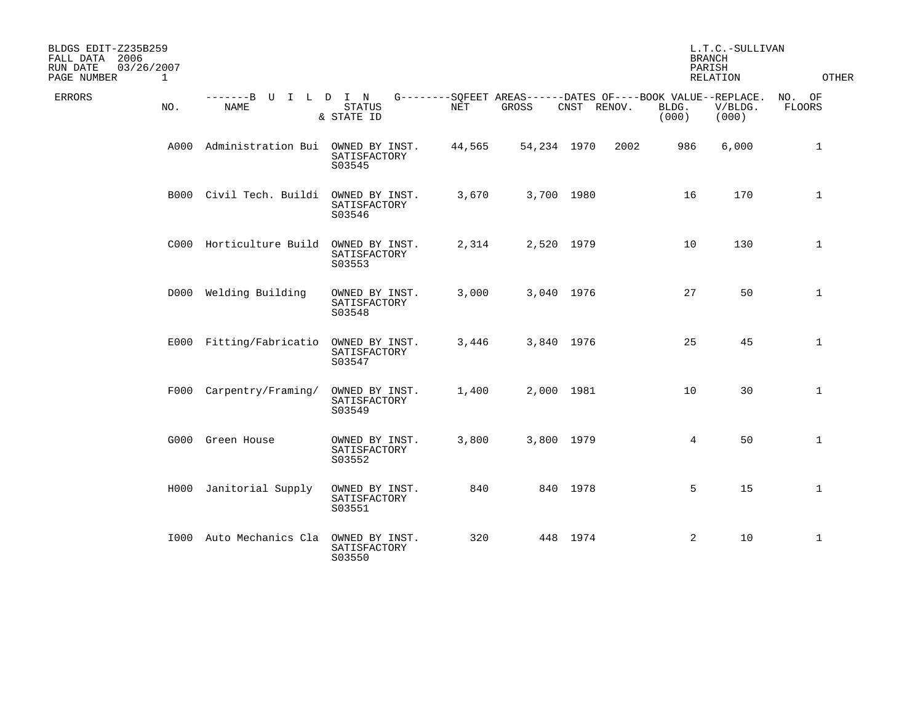| BLDGS EDIT-Z235B259<br>FALL DATA 2006<br>RUN DATE<br>03/26/2007<br>PAGE NUMBER<br>$\mathbf{1}$ |                                     |                                          |        |                                                                      |             |      | <b>BRANCH</b>  | L.T.C.-SULLIVAN<br>PARISH<br>RELATION | <b>OTHER</b>     |
|------------------------------------------------------------------------------------------------|-------------------------------------|------------------------------------------|--------|----------------------------------------------------------------------|-------------|------|----------------|---------------------------------------|------------------|
| <b>ERRORS</b><br>NO.                                                                           | -------B U I L D I N<br><b>NAME</b> | <b>STATUS</b><br>& STATE ID              | NET    | G--------SOFEET AREAS------DATES OF----BOOK VALUE--REPLACE.<br>GROSS | CNST RENOV. |      | BLDG.<br>(000) | V/BLDG.<br>(000)                      | NO. OF<br>FLOORS |
| A000                                                                                           | Administration Bui                  | OWNED BY INST.<br>SATISFACTORY<br>S03545 | 44,565 | 54,234 1970                                                          |             | 2002 | 986            | 6,000                                 | $\mathbf{1}$     |
|                                                                                                | B000 Civil Tech. Buildi             | OWNED BY INST.<br>SATISFACTORY<br>S03546 | 3,670  | 3,700 1980                                                           |             |      | 16             | 170                                   | $\mathbf{1}$     |
|                                                                                                | C000 Horticulture Build             | OWNED BY INST.<br>SATISFACTORY<br>S03553 | 2,314  | 2,520 1979                                                           |             |      | 10             | 130                                   | $\mathbf{1}$     |
|                                                                                                | D000 Welding Building               | OWNED BY INST.<br>SATISFACTORY<br>S03548 | 3,000  | 3,040 1976                                                           |             |      | 27             | 50                                    | $\mathbf{1}$     |
|                                                                                                | E000 Fitting/Fabricatio             | OWNED BY INST.<br>SATISFACTORY<br>S03547 | 3,446  | 3,840 1976                                                           |             |      | 25             | 45                                    | $\mathbf{1}$     |
|                                                                                                | F000 Carpentry/Framing/             | OWNED BY INST.<br>SATISFACTORY<br>S03549 | 1,400  | 2,000 1981                                                           |             |      | 10             | 30                                    | $\mathbf{1}$     |
|                                                                                                | G000 Green House                    | OWNED BY INST.<br>SATISFACTORY<br>S03552 | 3,800  | 3,800 1979                                                           |             |      | 4              | 50                                    | $\mathbf{1}$     |
|                                                                                                | H000 Janitorial Supply              | OWNED BY INST.<br>SATISFACTORY<br>S03551 | 840    |                                                                      | 840 1978    |      | 5              | 15                                    | $\mathbf{1}$     |
|                                                                                                | 1000 Auto Mechanics Cla             | OWNED BY INST.<br>SATISFACTORY<br>S03550 | 320    |                                                                      | 448 1974    |      | $\overline{a}$ | 10                                    | $\mathbf{1}$     |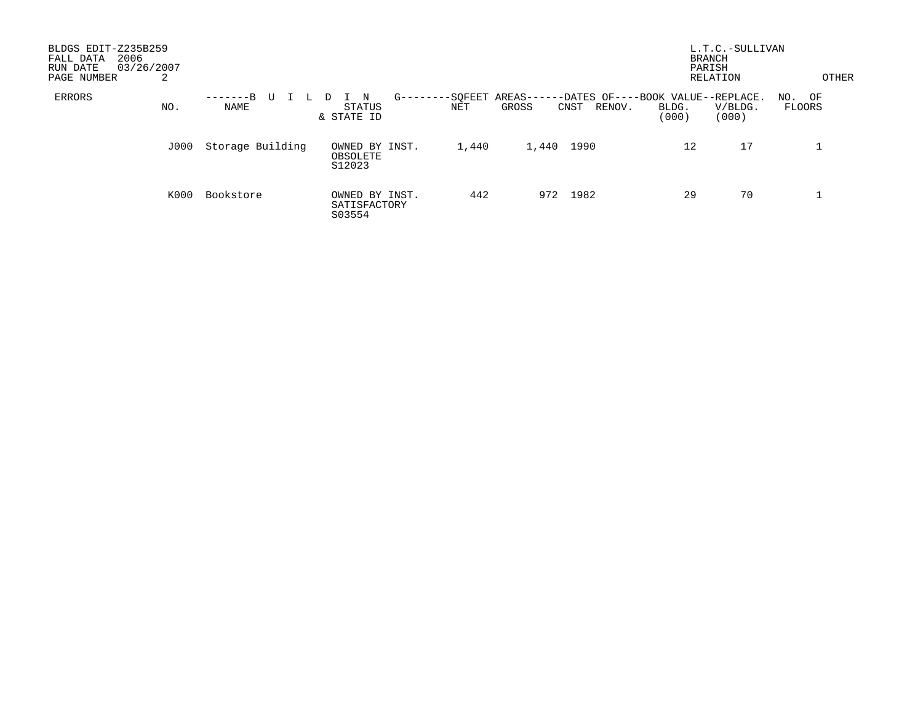| BLDGS EDIT-Z235B259<br>2006<br>FALL DATA<br>03/26/2007<br>RUN DATE<br>2<br>PAGE NUMBER |                    |                                                                    |                                              | L.T.C.-SULLIVAN<br><b>BRANCH</b><br>PARISH<br>RELATION                  | OTHER            |
|----------------------------------------------------------------------------------------|--------------------|--------------------------------------------------------------------|----------------------------------------------|-------------------------------------------------------------------------|------------------|
| ERRORS<br>NO.                                                                          | $-$ B<br>U<br>NAME | $G - - - - -$<br>N<br>$\Box$<br><b>STATUS</b><br>NET<br>& STATE ID | AREAS-<br>-SQFEET<br>GROSS<br>CNST<br>RENOV. | -DATES OF----BOOK VALUE--REPLACE.<br>BLDG.<br>V/BLDG.<br>(000)<br>(000) | NO. OF<br>FLOORS |
| J000                                                                                   | Storage Building   | OWNED BY INST.<br>OBSOLETE<br>S12023                               | 1,440<br>1990<br>1,440                       | 17<br>12                                                                |                  |
| K000                                                                                   | Bookstore          | OWNED BY INST.<br>SATISFACTORY<br>S03554                           | 1982<br>442<br>972                           | 29<br>70                                                                |                  |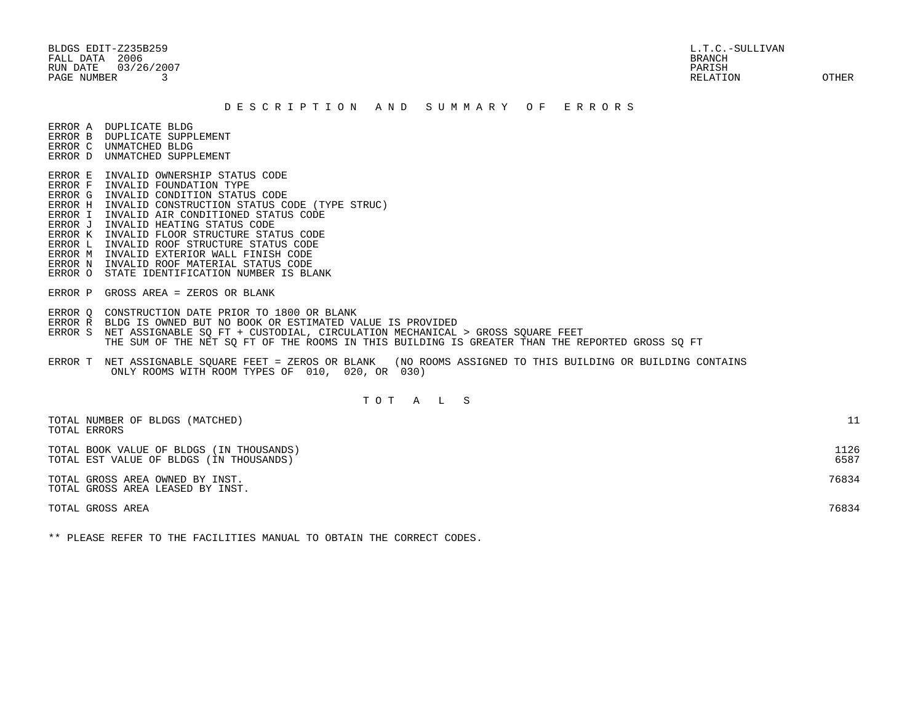BLDGS EDIT-Z235B259 L.T.C.-SULLIVAN FALL DATA 2006 BRANCH RUN DATE 03/26/2007 PARISH PAGE NUMBER 3 RELATION OTHER

## D E S C R I P T I O N A N D S U M M A R Y O F E R R O R S

ERROR A DUPLICATE BLDG

- ERROR B DUPLICATE SUPPLEMENT ERROR C UNMATCHED BLDG
- ERROR D UNMATCHED SUPPLEMENT
- ERROR E INVALID OWNERSHIP STATUS CODE
- ERROR F INVALID FOUNDATION TYPE
- ERROR G INVALID CONDITION STATUS CODE
- ERROR H INVALID CONSTRUCTION STATUS CODE (TYPE STRUC)
- ERROR I INVALID AIR CONDITIONED STATUS CODE
- ERROR J INVALID HEATING STATUS CODE
- ERROR K INVALID FLOOR STRUCTURE STATUS CODE
- ERROR L INVALID ROOF STRUCTURE STATUS CODE
- ERROR M INVALID EXTERIOR WALL FINISH CODE
- ERROR N INVALID ROOF MATERIAL STATUS CODE
- ERROR O STATE IDENTIFICATION NUMBER IS BLANK
- ERROR P GROSS AREA = ZEROS OR BLANK
- ERROR Q CONSTRUCTION DATE PRIOR TO 1800 OR BLANK
- ERROR R BLDG IS OWNED BUT NO BOOK OR ESTIMATED VALUE IS PROVIDED
- ERROR S NET ASSIGNABLE SO FT + CUSTODIAL, CIRCULATION MECHANICAL > GROSS SOUARE FEET THE SUM OF THE NET SQ FT OF THE ROOMS IN THIS BUILDING IS GREATER THAN THE REPORTED GROSS SQ FT
- ERROR T NET ASSIGNABLE SQUARE FEET = ZEROS OR BLANK (NO ROOMS ASSIGNED TO THIS BUILDING OR BUILDING CONTAINS ONLY ROOMS WITH ROOM TYPES OF 010, 020, OR 030)

## T O T A L S

| TOTAL NUMBER OF BLDGS (MATCHED)<br>TOTAL ERRORS                                     |              |
|-------------------------------------------------------------------------------------|--------------|
| TOTAL BOOK VALUE OF BLDGS (IN THOUSANDS)<br>TOTAL EST VALUE OF BLDGS (IN THOUSANDS) | 1126<br>6587 |
| TOTAL GROSS AREA OWNED BY INST.<br>TOTAL GROSS AREA LEASED BY INST.                 | 76834        |
| TOTAL GROSS AREA                                                                    | 76834        |

\*\* PLEASE REFER TO THE FACILITIES MANUAL TO OBTAIN THE CORRECT CODES.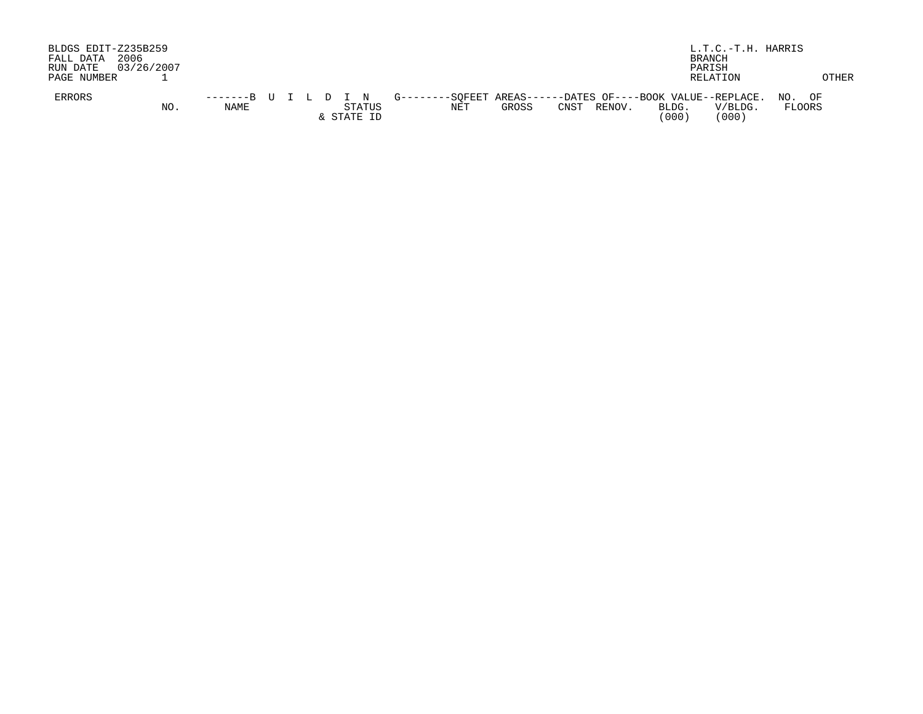| BLDGS EDIT-Z235B259<br>2006<br>FALL DATA<br>RUN DATE<br>PAGE NUMBER | 03/26/2007 |      |  |  |                      |  |     |       |      |        |                                                                                                           | L.T.C.-T.H. HARRIS<br><b>BRANCH</b><br>PARISH<br>RELATION | OTHER  |
|---------------------------------------------------------------------|------------|------|--|--|----------------------|--|-----|-------|------|--------|-----------------------------------------------------------------------------------------------------------|-----------------------------------------------------------|--------|
| <b>ERRORS</b>                                                       | NO.        | NAME |  |  | STATUS<br>& STATE ID |  | NET | GROSS | CNST | RENOV. | -------B U I L D I N G--------SOFEET AREAS------DATES OF----BOOK VALUE--REPLACE. NO. OF<br>BLDG.<br>(000) | V/BLDG.<br>(000)                                          | FLOORS |